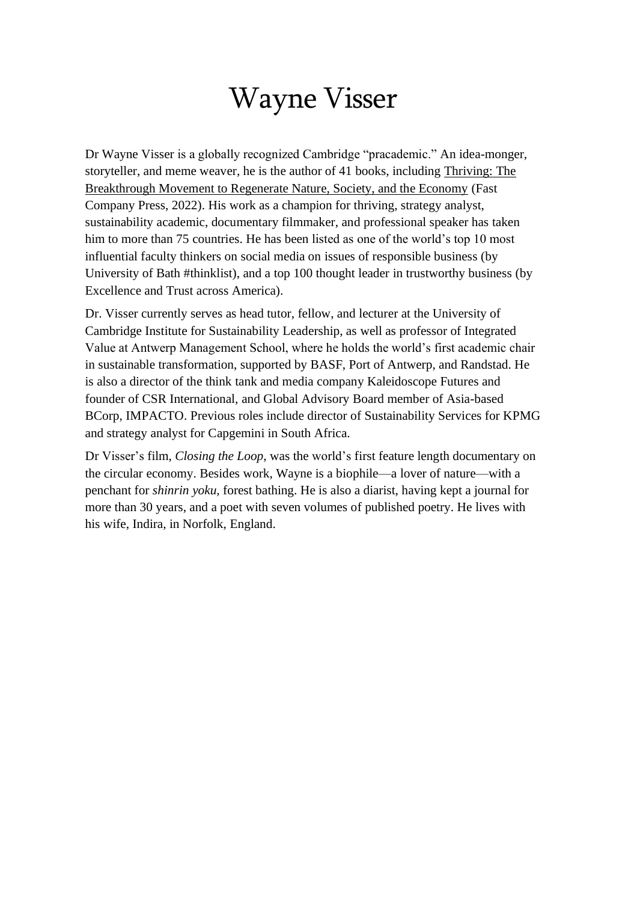## Wayne Visser

Dr Wayne Visser is a globally recognized Cambridge "pracademic." An idea-monger, storyteller, and meme weaver, he is the author of 41 books, including [Thriving: The](https://www.amazon.com/Thriving-Breakthrough-Movement-Regenerate-Society/dp/1639080074/)  [Breakthrough Movement to Regenerate Nature, Society, and the Economy](https://www.amazon.com/Thriving-Breakthrough-Movement-Regenerate-Society/dp/1639080074/) (Fast Company Press, 2022). His work as a champion for thriving, strategy analyst, sustainability academic, documentary filmmaker, and professional speaker has taken him to more than 75 countries. He has been listed as one of the world's top 10 most influential faculty thinkers on social media on issues of responsible business (by University of Bath #thinklist), and a top 100 thought leader in trustworthy business (by Excellence and Trust across America).

Dr. Visser currently serves as head tutor, fellow, and lecturer at the University of Cambridge Institute for Sustainability Leadership, as well as professor of Integrated Value at Antwerp Management School, where he holds the world's first academic chair in sustainable transformation, supported by BASF, Port of Antwerp, and Randstad. He is also a director of the think tank and media company Kaleidoscope Futures and founder of CSR International, and Global Advisory Board member of Asia-based BCorp, IMPACTO. Previous roles include director of Sustainability Services for KPMG and strategy analyst for Capgemini in South Africa.

Dr Visser's film, *Closing the Loop*, was the world's first feature length documentary on the circular economy. Besides work, Wayne is a biophile—a lover of nature—with a penchant for *shinrin yoku,* forest bathing. He is also a diarist, having kept a journal for more than 30 years, and a poet with seven volumes of published poetry. He lives with his wife, Indira, in Norfolk, England.